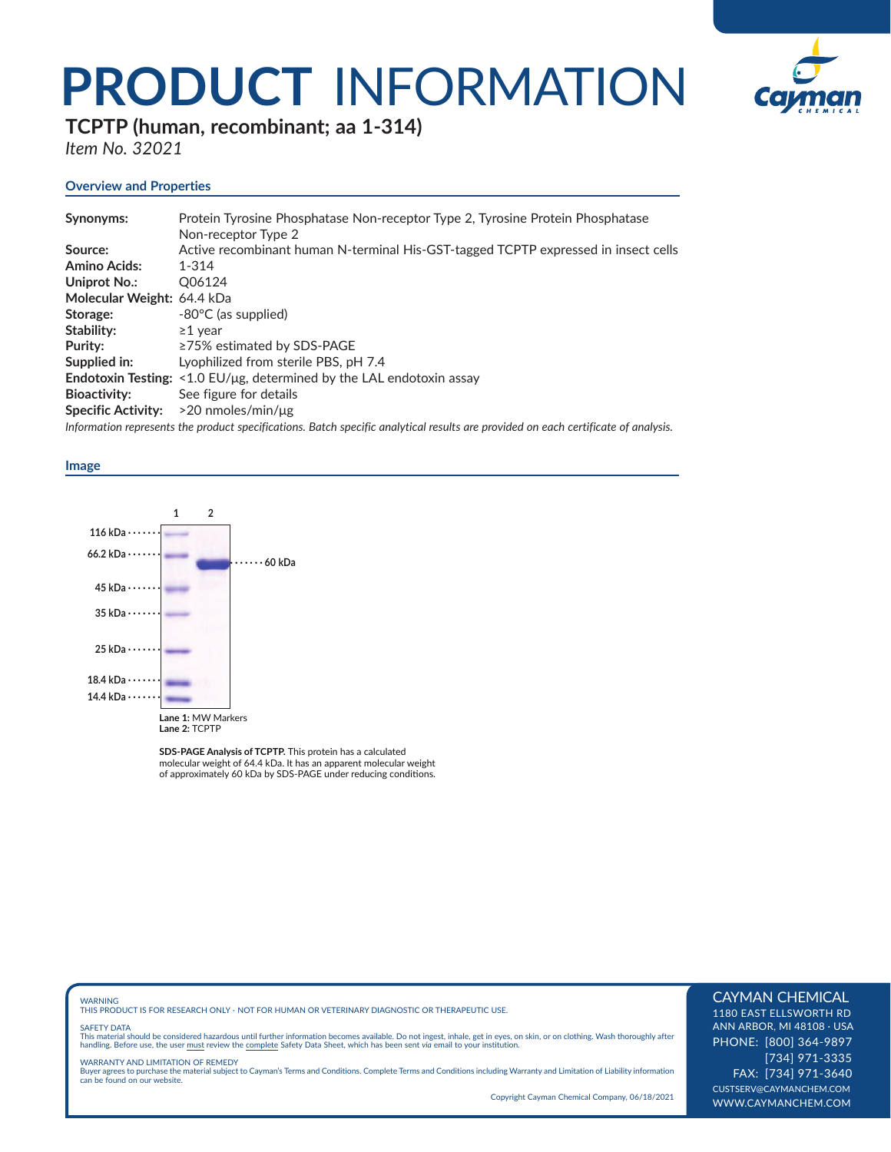## **PRODUCT** INFORMATION



**TCPTP (human, recombinant; aa 1-314)**

*Item No. 32021*

### **Overview and Properties**

| Synonyms:                  | Protein Tyrosine Phosphatase Non-receptor Type 2, Tyrosine Protein Phosphatase                                                     |
|----------------------------|------------------------------------------------------------------------------------------------------------------------------------|
|                            | Non-receptor Type 2                                                                                                                |
| Source:                    | Active recombinant human N-terminal His-GST-tagged TCPTP expressed in insect cells                                                 |
| <b>Amino Acids:</b>        | $1 - 314$                                                                                                                          |
| Uniprot No.:               | Q06124                                                                                                                             |
| Molecular Weight: 64.4 kDa |                                                                                                                                    |
| Storage:                   | $-80^{\circ}$ C (as supplied)                                                                                                      |
| Stability:                 | $\geq$ 1 vear                                                                                                                      |
| Purity:                    | ≥75% estimated by SDS-PAGE                                                                                                         |
| Supplied in:               | Lyophilized from sterile PBS, pH 7.4                                                                                               |
|                            | <b>Endotoxin Testing:</b> $\leq$ 1.0 EU/µg, determined by the LAL endotoxin assay                                                  |
| <b>Bioactivity:</b>        | See figure for details                                                                                                             |
| <b>Specific Activity:</b>  | $>$ 20 nmoles/min/ $\mu$ g                                                                                                         |
|                            | Information represents the product specifications. Batch specific analytical results are provided on each certificate of analysis. |

#### **Image**



**SDS-PAGE Analysis of TCPTP.** This protein has a calculated molecular weight of 64.4 kDa. It has an apparent molecular weight of approximately 60 kDa by SDS-PAGE under reducing conditions.

WARNING THIS PRODUCT IS FOR RESEARCH ONLY - NOT FOR HUMAN OR VETERINARY DIAGNOSTIC OR THERAPEUTIC USE.

#### SAFETY DATA

This material should be considered hazardous until further information becomes available. Do not ingest, inhale, get in eyes, on skin, or on clothing. Wash thoroughly after<br>handling. Before use, the user must review the co

WARRANTY AND LIMITATION OF REMEDY Buyer agrees to purchase the material subject to Cayman's Terms and Conditions. Complete Terms and Conditions including Warranty and Limitation of Liability information can be found on our website.

Copyright Cayman Chemical Company, 06/18/2021

#### CAYMAN CHEMICAL

1180 EAST ELLSWORTH RD ANN ARBOR, MI 48108 · USA PHONE: [800] 364-9897 [734] 971-3335 FAX: [734] 971-3640 CUSTSERV@CAYMANCHEM.COM WWW.CAYMANCHEM.COM